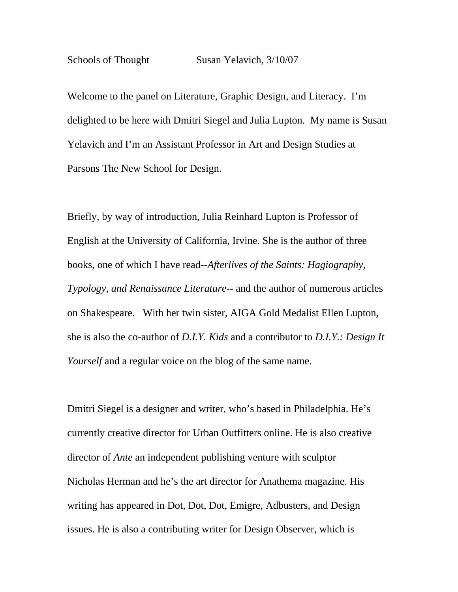Welcome to the panel on Literature, Graphic Design, and Literacy. I'm delighted to be here with Dmitri Siegel and Julia Lupton. My name is Susan Yelavich and I'm an Assistant Professor in Art and Design Studies at Parsons The New School for Design.

Briefly, by way of introduction, Julia Reinhard Lupton is Professor of English at the University of California, Irvine. She is the author of three books, one of which I have read--*Afterlives of the Saints: Hagiography, Typology, and Renaissance Literature--* and the author of numerous articles on Shakespeare. With her twin sister, AIGA Gold Medalist Ellen Lupton, she is also the co-author of *D.I.Y. Kids* and a contributor to *D.I.Y.: Design It Yourself* and a regular voice on the blog of the same name.

Dmitri Siegel is a designer and writer, who's based in Philadelphia. He's currently creative director for Urban Outfitters online. He is also creative director of *Ante* an independent publishing venture with sculptor Nicholas Herman and he's the art director for Anathema magazine. His writing has appeared in Dot, Dot, Dot, Emigre, Adbusters, and Design issues. He is also a contributing writer for Design Observer, which is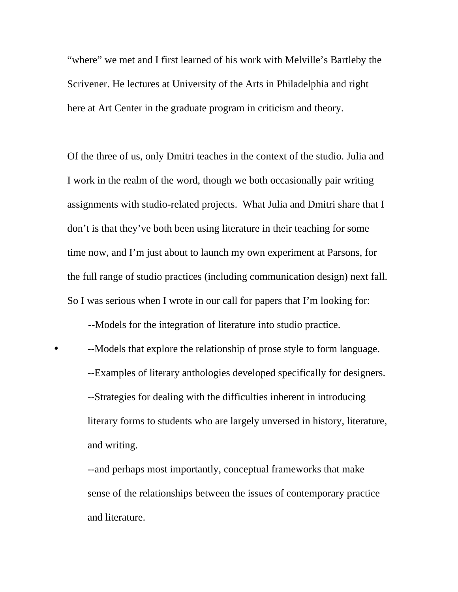"where" we met and I first learned of his work with Melville's Bartleby the Scrivener. He lectures at University of the Arts in Philadelphia and right here at Art Center in the graduate program in criticism and theory.

Of the three of us, only Dmitri teaches in the context of the studio. Julia and I work in the realm of the word, though we both occasionally pair writing assignments with studio-related projects. What Julia and Dmitri share that I don't is that they've both been using literature in their teaching for some time now, and I'm just about to launch my own experiment at Parsons, for the full range of studio practices (including communication design) next fall. So I was serious when I wrote in our call for papers that I'm looking for:

 **--**Models for the integration of literature into studio practice.

• --Models that explore the relationship of prose style to form language. --Examples of literary anthologies developed specifically for designers. --Strategies for dealing with the difficulties inherent in introducing literary forms to students who are largely unversed in history, literature, and writing.

--and perhaps most importantly, conceptual frameworks that make sense of the relationships between the issues of contemporary practice and literature.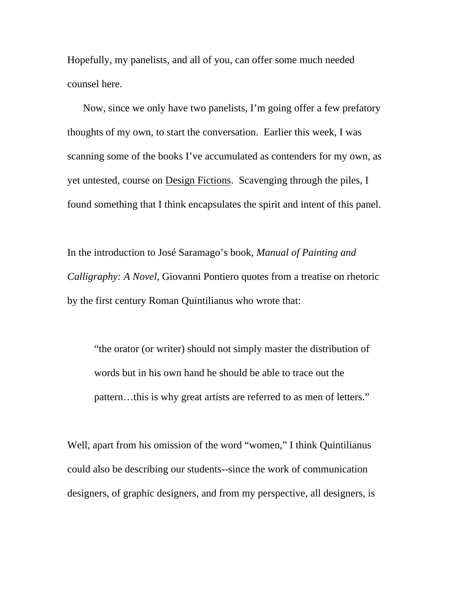Hopefully, my panelists, and all of you, can offer some much needed counsel here.

 Now, since we only have two panelists, I'm going offer a few prefatory thoughts of my own, to start the conversation. Earlier this week, I was scanning some of the books I've accumulated as contenders for my own, as yet untested, course on Design Fictions. Scavenging through the piles, I found something that I think encapsulates the spirit and intent of this panel.

In the introduction to José Saramago's book, *Manual of Painting and Calligraphy: A Novel,* Giovanni Pontiero quotes from a treatise on rhetoric by the first century Roman Quintilianus who wrote that:

"the orator (or writer) should not simply master the distribution of words but in his own hand he should be able to trace out the pattern…this is why great artists are referred to as men of letters."

Well, apart from his omission of the word "women," I think Quintilianus could also be describing our students--since the work of communication designers, of graphic designers, and from my perspective, all designers, is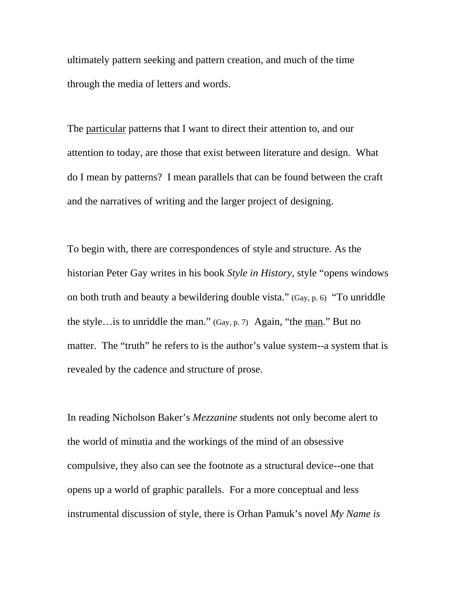ultimately pattern seeking and pattern creation, and much of the time through the media of letters and words.

The <u>particular</u> patterns that I want to direct their attention to, and our attention to today, are those that exist between literature and design. What do I mean by patterns? I mean parallels that can be found between the craft and the narratives of writing and the larger project of designing.

To begin with, there are correspondences of style and structure. As the historian Peter Gay writes in his book *Style in History*, style "opens windows on both truth and beauty a bewildering double vista." (Gay, p. 6) "To unriddle the style…is to unriddle the man." (Gay, p. 7) Again, "the man." But no matter. The "truth" he refers to is the author's value system--a system that is revealed by the cadence and structure of prose.

In reading Nicholson Baker's *Mezzanine* students not only become alert to the world of minutia and the workings of the mind of an obsessive compulsive, they also can see the footnote as a structural device--one that opens up a world of graphic parallels. For a more conceptual and less instrumental discussion of style, there is Orhan Pamuk's novel *My Name is*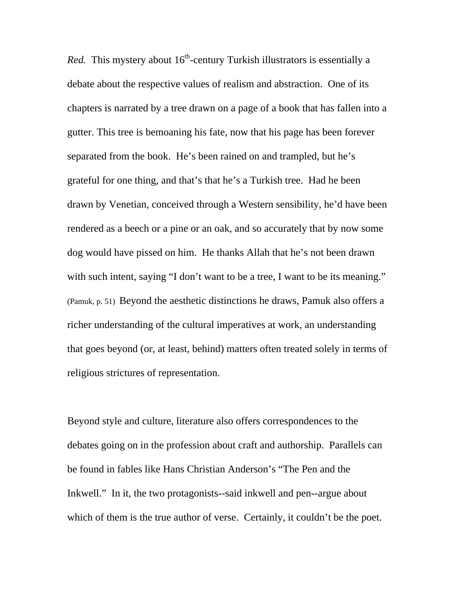*Red.* This mystery about  $16<sup>th</sup>$ -century Turkish illustrators is essentially a debate about the respective values of realism and abstraction. One of its chapters is narrated by a tree drawn on a page of a book that has fallen into a gutter. This tree is bemoaning his fate, now that his page has been forever separated from the book. He's been rained on and trampled, but he's grateful for one thing, and that's that he's a Turkish tree. Had he been drawn by Venetian, conceived through a Western sensibility, he'd have been rendered as a beech or a pine or an oak, and so accurately that by now some dog would have pissed on him. He thanks Allah that he's not been drawn with such intent, saying "I don't want to be a tree, I want to be its meaning." (Pamuk, p. 51) Beyond the aesthetic distinctions he draws, Pamuk also offers a richer understanding of the cultural imperatives at work, an understanding that goes beyond (or, at least, behind) matters often treated solely in terms of religious strictures of representation.

Beyond style and culture, literature also offers correspondences to the debates going on in the profession about craft and authorship. Parallels can be found in fables like Hans Christian Anderson's "The Pen and the Inkwell." In it, the two protagonists--said inkwell and pen--argue about which of them is the true author of verse. Certainly, it couldn't be the poet.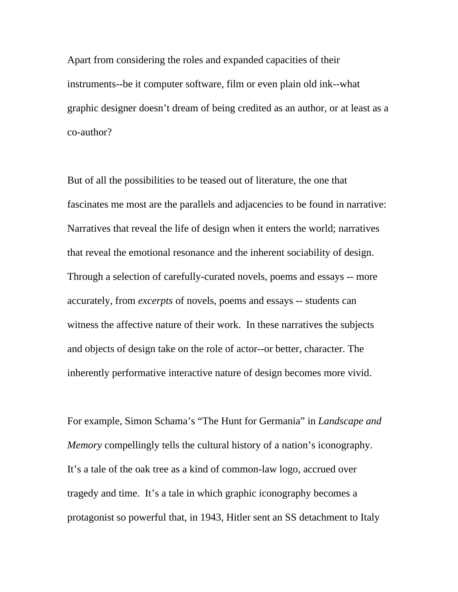Apart from considering the roles and expanded capacities of their instruments--be it computer software, film or even plain old ink--what graphic designer doesn't dream of being credited as an author, or at least as a co-author?

But of all the possibilities to be teased out of literature, the one that fascinates me most are the parallels and adjacencies to be found in narrative: Narratives that reveal the life of design when it enters the world; narratives that reveal the emotional resonance and the inherent sociability of design. Through a selection of carefully-curated novels, poems and essays -- more accurately, from *excerpts* of novels, poems and essays -- students can witness the affective nature of their work. In these narratives the subjects and objects of design take on the role of actor--or better, character. The inherently performative interactive nature of design becomes more vivid.

For example, Simon Schama's "The Hunt for Germania" in *Landscape and Memory* compellingly tells the cultural history of a nation's iconography. It's a tale of the oak tree as a kind of common-law logo, accrued over tragedy and time. It's a tale in which graphic iconography becomes a protagonist so powerful that, in 1943, Hitler sent an SS detachment to Italy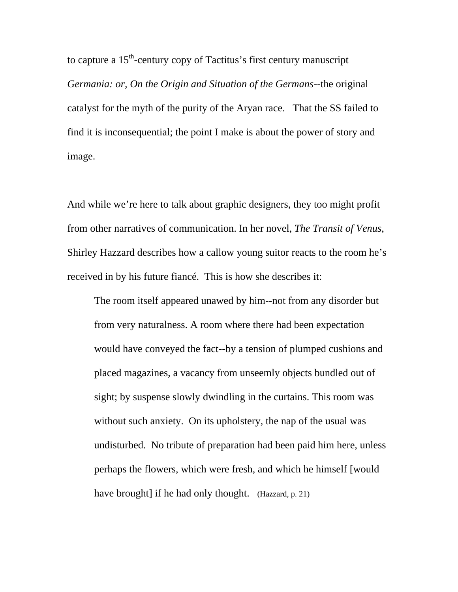to capture a  $15<sup>th</sup>$ -century copy of Tactitus's first century manuscript *Germania: or, On the Origin and Situation of the Germans--*the original catalyst for the myth of the purity of the Aryan race. That the SS failed to find it is inconsequential; the point I make is about the power of story and image.

And while we're here to talk about graphic designers, they too might profit from other narratives of communication. In her novel, *The Transit of Venus*, Shirley Hazzard describes how a callow young suitor reacts to the room he's received in by his future fiancé. This is how she describes it:

The room itself appeared unawed by him--not from any disorder but from very naturalness. A room where there had been expectation would have conveyed the fact--by a tension of plumped cushions and placed magazines, a vacancy from unseemly objects bundled out of sight; by suspense slowly dwindling in the curtains. This room was without such anxiety. On its upholstery, the nap of the usual was undisturbed. No tribute of preparation had been paid him here, unless perhaps the flowers, which were fresh, and which he himself [would have brought] if he had only thought. (Hazzard, p. 21)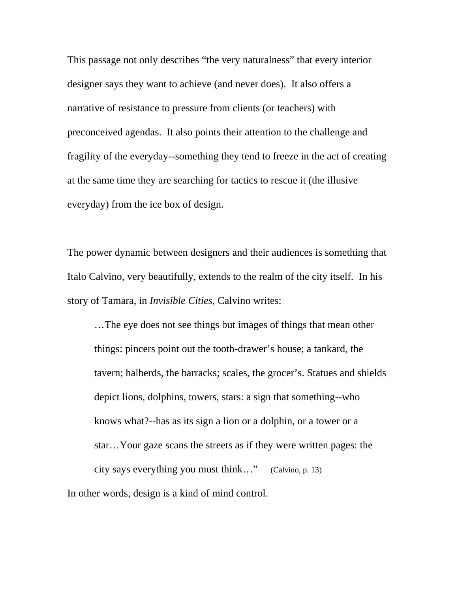This passage not only describes "the very naturalness" that every interior designer says they want to achieve (and never does). It also offers a narrative of resistance to pressure from clients (or teachers) with preconceived agendas. It also points their attention to the challenge and fragility of the everyday--something they tend to freeze in the act of creating at the same time they are searching for tactics to rescue it (the illusive everyday) from the ice box of design.

The power dynamic between designers and their audiences is something that Italo Calvino, very beautifully, extends to the realm of the city itself. In his story of Tamara, in *Invisible Cities*, Calvino writes:

…The eye does not see things but images of things that mean other things: pincers point out the tooth-drawer's house; a tankard, the tavern; halberds, the barracks; scales, the grocer's. Statues and shields depict lions, dolphins, towers, stars: a sign that something--who knows what?--has as its sign a lion or a dolphin, or a tower or a star…Your gaze scans the streets as if they were written pages: the city says everything you must think…" (Calvino, p. 13) In other words, design is a kind of mind control.